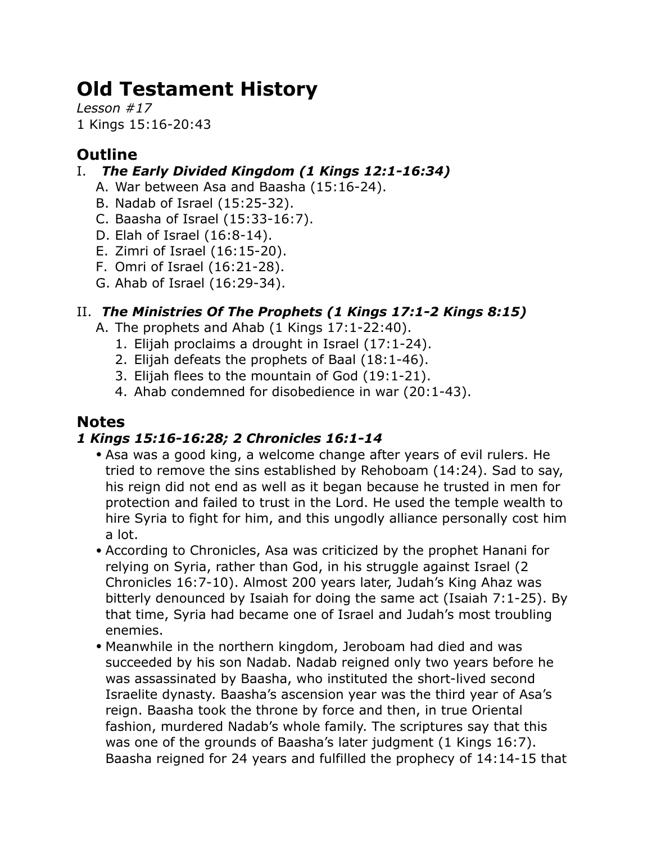# **Old Testament History**

*Lesson #17* 1 Kings 15:16-20:43

## **Outline**

### I. *The Early Divided Kingdom (1 Kings 12:1-16:34)*

- A. War between Asa and Baasha (15:16-24).
- B. Nadab of Israel (15:25-32).
- C. Baasha of Israel (15:33-16:7).
- D. Elah of Israel (16:8-14).
- E. Zimri of Israel (16:15-20).
- F. Omri of Israel (16:21-28).
- G. Ahab of Israel (16:29-34).

## II. *The Ministries Of The Prophets (1 Kings 17:1-2 Kings 8:15)*

- A. The prophets and Ahab (1 Kings 17:1-22:40).
	- 1. Elijah proclaims a drought in Israel (17:1-24).
	- 2. Elijah defeats the prophets of Baal (18:1-46).
	- 3. Elijah flees to the mountain of God (19:1-21).
	- 4. Ahab condemned for disobedience in war (20:1-43).

## **Notes**

## *1 Kings 15:16-16:28; 2 Chronicles 16:1-14*

- Asa was a good king, a welcome change after years of evil rulers. He tried to remove the sins established by Rehoboam (14:24). Sad to say, his reign did not end as well as it began because he trusted in men for protection and failed to trust in the Lord. He used the temple wealth to hire Syria to fight for him, and this ungodly alliance personally cost him a lot.
- According to Chronicles, Asa was criticized by the prophet Hanani for relying on Syria, rather than God, in his struggle against Israel (2 Chronicles 16:7-10). Almost 200 years later, Judah's King Ahaz was bitterly denounced by Isaiah for doing the same act (Isaiah 7:1-25). By that time, Syria had became one of Israel and Judah's most troubling enemies.
- Meanwhile in the northern kingdom, Jeroboam had died and was succeeded by his son Nadab. Nadab reigned only two years before he was assassinated by Baasha, who instituted the short-lived second Israelite dynasty. Baasha's ascension year was the third year of Asa's reign. Baasha took the throne by force and then, in true Oriental fashion, murdered Nadab's whole family. The scriptures say that this was one of the grounds of Baasha's later judgment (1 Kings 16:7). Baasha reigned for 24 years and fulfilled the prophecy of 14:14-15 that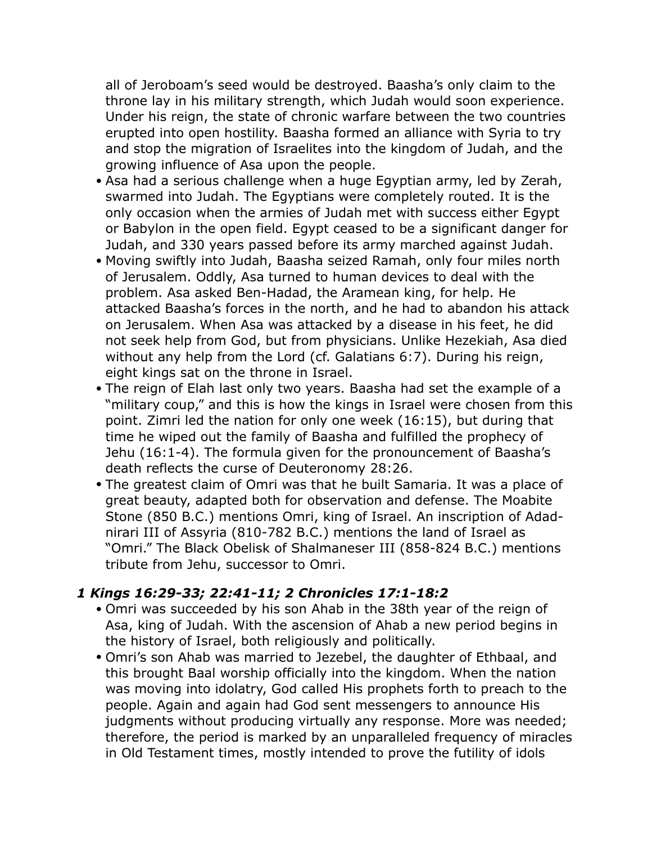all of Jeroboam's seed would be destroyed. Baasha's only claim to the throne lay in his military strength, which Judah would soon experience. Under his reign, the state of chronic warfare between the two countries erupted into open hostility. Baasha formed an alliance with Syria to try and stop the migration of Israelites into the kingdom of Judah, and the growing influence of Asa upon the people.

- Asa had a serious challenge when a huge Egyptian army, led by Zerah, swarmed into Judah. The Egyptians were completely routed. It is the only occasion when the armies of Judah met with success either Egypt or Babylon in the open field. Egypt ceased to be a significant danger for Judah, and 330 years passed before its army marched against Judah.
- Moving swiftly into Judah, Baasha seized Ramah, only four miles north of Jerusalem. Oddly, Asa turned to human devices to deal with the problem. Asa asked Ben-Hadad, the Aramean king, for help. He attacked Baasha's forces in the north, and he had to abandon his attack on Jerusalem. When Asa was attacked by a disease in his feet, he did not seek help from God, but from physicians. Unlike Hezekiah, Asa died without any help from the Lord (cf. Galatians 6:7). During his reign, eight kings sat on the throne in Israel.
- The reign of Elah last only two years. Baasha had set the example of a "military coup," and this is how the kings in Israel were chosen from this point. Zimri led the nation for only one week (16:15), but during that time he wiped out the family of Baasha and fulfilled the prophecy of Jehu (16:1-4). The formula given for the pronouncement of Baasha's death reflects the curse of Deuteronomy 28:26.
- The greatest claim of Omri was that he built Samaria. It was a place of great beauty, adapted both for observation and defense. The Moabite Stone (850 B.C.) mentions Omri, king of Israel. An inscription of Adadnirari III of Assyria (810-782 B.C.) mentions the land of Israel as "Omri." The Black Obelisk of Shalmaneser III (858-824 B.C.) mentions tribute from Jehu, successor to Omri.

#### *1 Kings 16:29-33; 22:41-11; 2 Chronicles 17:1-18:2*

- Omri was succeeded by his son Ahab in the 38th year of the reign of Asa, king of Judah. With the ascension of Ahab a new period begins in the history of Israel, both religiously and politically.
- Omri's son Ahab was married to Jezebel, the daughter of Ethbaal, and this brought Baal worship officially into the kingdom. When the nation was moving into idolatry, God called His prophets forth to preach to the people. Again and again had God sent messengers to announce His judgments without producing virtually any response. More was needed; therefore, the period is marked by an unparalleled frequency of miracles in Old Testament times, mostly intended to prove the futility of idols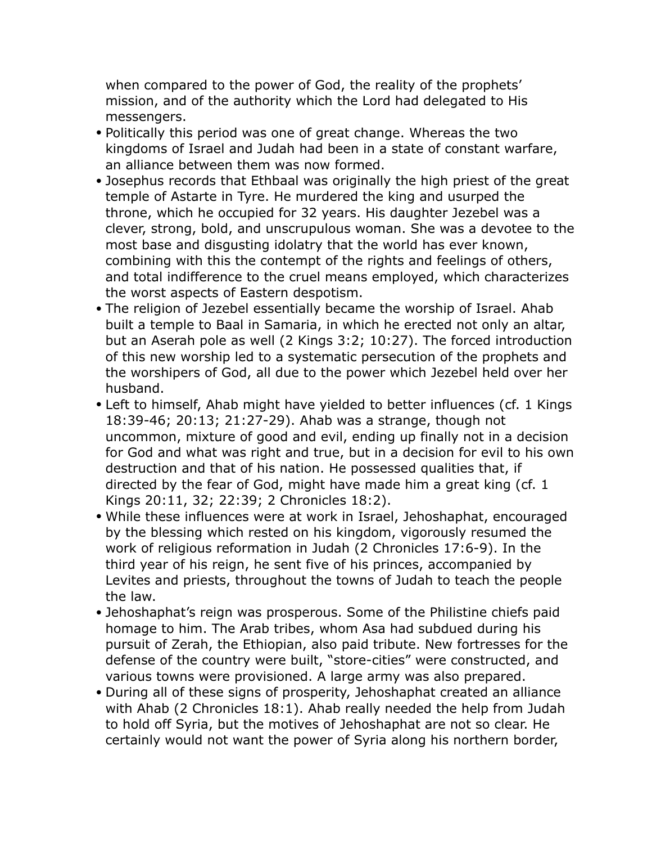when compared to the power of God, the reality of the prophets' mission, and of the authority which the Lord had delegated to His messengers.

- Politically this period was one of great change. Whereas the two kingdoms of Israel and Judah had been in a state of constant warfare, an alliance between them was now formed.
- Josephus records that Ethbaal was originally the high priest of the great temple of Astarte in Tyre. He murdered the king and usurped the throne, which he occupied for 32 years. His daughter Jezebel was a clever, strong, bold, and unscrupulous woman. She was a devotee to the most base and disgusting idolatry that the world has ever known, combining with this the contempt of the rights and feelings of others, and total indifference to the cruel means employed, which characterizes the worst aspects of Eastern despotism.
- The religion of Jezebel essentially became the worship of Israel. Ahab built a temple to Baal in Samaria, in which he erected not only an altar, but an Aserah pole as well (2 Kings 3:2; 10:27). The forced introduction of this new worship led to a systematic persecution of the prophets and the worshipers of God, all due to the power which Jezebel held over her husband.
- Left to himself, Ahab might have yielded to better influences (cf. 1 Kings 18:39-46; 20:13; 21:27-29). Ahab was a strange, though not uncommon, mixture of good and evil, ending up finally not in a decision for God and what was right and true, but in a decision for evil to his own destruction and that of his nation. He possessed qualities that, if directed by the fear of God, might have made him a great king (cf. 1 Kings 20:11, 32; 22:39; 2 Chronicles 18:2).
- While these influences were at work in Israel, Jehoshaphat, encouraged by the blessing which rested on his kingdom, vigorously resumed the work of religious reformation in Judah (2 Chronicles 17:6-9). In the third year of his reign, he sent five of his princes, accompanied by Levites and priests, throughout the towns of Judah to teach the people the law.
- Jehoshaphat's reign was prosperous. Some of the Philistine chiefs paid homage to him. The Arab tribes, whom Asa had subdued during his pursuit of Zerah, the Ethiopian, also paid tribute. New fortresses for the defense of the country were built, "store-cities" were constructed, and various towns were provisioned. A large army was also prepared.
- During all of these signs of prosperity, Jehoshaphat created an alliance with Ahab (2 Chronicles 18:1). Ahab really needed the help from Judah to hold off Syria, but the motives of Jehoshaphat are not so clear. He certainly would not want the power of Syria along his northern border,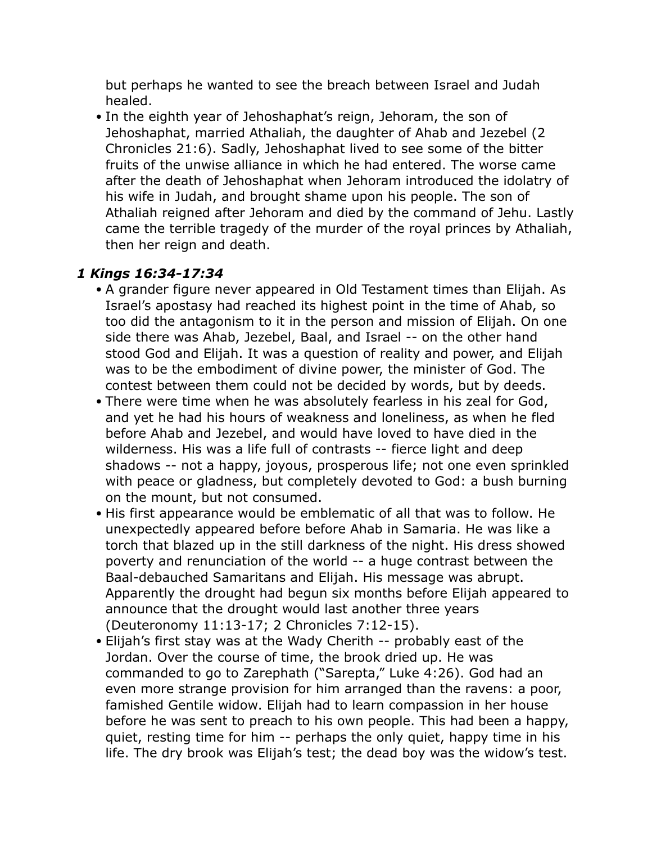but perhaps he wanted to see the breach between Israel and Judah healed.

• In the eighth year of Jehoshaphat's reign, Jehoram, the son of Jehoshaphat, married Athaliah, the daughter of Ahab and Jezebel (2 Chronicles 21:6). Sadly, Jehoshaphat lived to see some of the bitter fruits of the unwise alliance in which he had entered. The worse came after the death of Jehoshaphat when Jehoram introduced the idolatry of his wife in Judah, and brought shame upon his people. The son of Athaliah reigned after Jehoram and died by the command of Jehu. Lastly came the terrible tragedy of the murder of the royal princes by Athaliah, then her reign and death.

#### *1 Kings 16:34-17:34*

- A grander figure never appeared in Old Testament times than Elijah. As Israel's apostasy had reached its highest point in the time of Ahab, so too did the antagonism to it in the person and mission of Elijah. On one side there was Ahab, Jezebel, Baal, and Israel -- on the other hand stood God and Elijah. It was a question of reality and power, and Elijah was to be the embodiment of divine power, the minister of God. The contest between them could not be decided by words, but by deeds.
- There were time when he was absolutely fearless in his zeal for God, and yet he had his hours of weakness and loneliness, as when he fled before Ahab and Jezebel, and would have loved to have died in the wilderness. His was a life full of contrasts -- fierce light and deep shadows -- not a happy, joyous, prosperous life; not one even sprinkled with peace or gladness, but completely devoted to God: a bush burning on the mount, but not consumed.
- His first appearance would be emblematic of all that was to follow. He unexpectedly appeared before before Ahab in Samaria. He was like a torch that blazed up in the still darkness of the night. His dress showed poverty and renunciation of the world -- a huge contrast between the Baal-debauched Samaritans and Elijah. His message was abrupt. Apparently the drought had begun six months before Elijah appeared to announce that the drought would last another three years (Deuteronomy 11:13-17; 2 Chronicles 7:12-15).
- Elijah's first stay was at the Wady Cherith -- probably east of the Jordan. Over the course of time, the brook dried up. He was commanded to go to Zarephath ("Sarepta," Luke 4:26). God had an even more strange provision for him arranged than the ravens: a poor, famished Gentile widow. Elijah had to learn compassion in her house before he was sent to preach to his own people. This had been a happy, quiet, resting time for him -- perhaps the only quiet, happy time in his life. The dry brook was Elijah's test; the dead boy was the widow's test.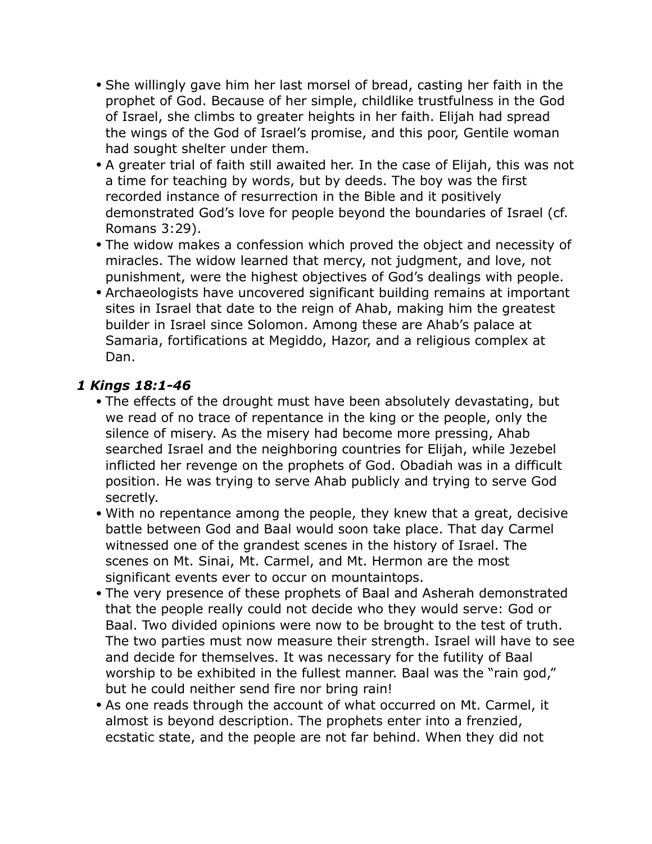- She willingly gave him her last morsel of bread, casting her faith in the prophet of God. Because of her simple, childlike trustfulness in the God of Israel, she climbs to greater heights in her faith. Elijah had spread the wings of the God of Israel's promise, and this poor, Gentile woman had sought shelter under them.
- A greater trial of faith still awaited her. In the case of Elijah, this was not a time for teaching by words, but by deeds. The boy was the first recorded instance of resurrection in the Bible and it positively demonstrated God's love for people beyond the boundaries of Israel (cf. Romans 3:29).
- The widow makes a confession which proved the object and necessity of miracles. The widow learned that mercy, not judgment, and love, not punishment, were the highest objectives of God's dealings with people.
- Archaeologists have uncovered significant building remains at important sites in Israel that date to the reign of Ahab, making him the greatest builder in Israel since Solomon. Among these are Ahab's palace at Samaria, fortifications at Megiddo, Hazor, and a religious complex at Dan.

#### *1 Kings 18:1-46*

- The effects of the drought must have been absolutely devastating, but we read of no trace of repentance in the king or the people, only the silence of misery. As the misery had become more pressing, Ahab searched Israel and the neighboring countries for Elijah, while Jezebel inflicted her revenge on the prophets of God. Obadiah was in a difficult position. He was trying to serve Ahab publicly and trying to serve God secretly.
- With no repentance among the people, they knew that a great, decisive battle between God and Baal would soon take place. That day Carmel witnessed one of the grandest scenes in the history of Israel. The scenes on Mt. Sinai, Mt. Carmel, and Mt. Hermon are the most significant events ever to occur on mountaintops.
- The very presence of these prophets of Baal and Asherah demonstrated that the people really could not decide who they would serve: God or Baal. Two divided opinions were now to be brought to the test of truth. The two parties must now measure their strength. Israel will have to see and decide for themselves. It was necessary for the futility of Baal worship to be exhibited in the fullest manner. Baal was the "rain god," but he could neither send fire nor bring rain!
- As one reads through the account of what occurred on Mt. Carmel, it almost is beyond description. The prophets enter into a frenzied, ecstatic state, and the people are not far behind. When they did not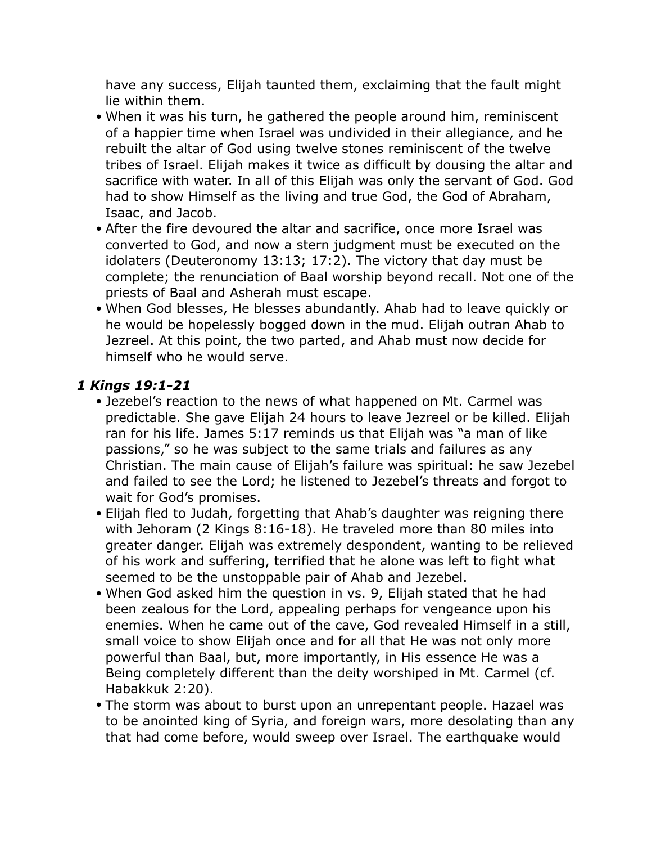have any success, Elijah taunted them, exclaiming that the fault might lie within them.

- When it was his turn, he gathered the people around him, reminiscent of a happier time when Israel was undivided in their allegiance, and he rebuilt the altar of God using twelve stones reminiscent of the twelve tribes of Israel. Elijah makes it twice as difficult by dousing the altar and sacrifice with water. In all of this Elijah was only the servant of God. God had to show Himself as the living and true God, the God of Abraham, Isaac, and Jacob.
- After the fire devoured the altar and sacrifice, once more Israel was converted to God, and now a stern judgment must be executed on the idolaters (Deuteronomy 13:13; 17:2). The victory that day must be complete; the renunciation of Baal worship beyond recall. Not one of the priests of Baal and Asherah must escape.
- When God blesses, He blesses abundantly. Ahab had to leave quickly or he would be hopelessly bogged down in the mud. Elijah outran Ahab to Jezreel. At this point, the two parted, and Ahab must now decide for himself who he would serve.

#### *1 Kings 19:1-21*

- Jezebel's reaction to the news of what happened on Mt. Carmel was predictable. She gave Elijah 24 hours to leave Jezreel or be killed. Elijah ran for his life. James 5:17 reminds us that Elijah was "a man of like passions," so he was subject to the same trials and failures as any Christian. The main cause of Elijah's failure was spiritual: he saw Jezebel and failed to see the Lord; he listened to Jezebel's threats and forgot to wait for God's promises.
- Elijah fled to Judah, forgetting that Ahab's daughter was reigning there with Jehoram (2 Kings 8:16-18). He traveled more than 80 miles into greater danger. Elijah was extremely despondent, wanting to be relieved of his work and suffering, terrified that he alone was left to fight what seemed to be the unstoppable pair of Ahab and Jezebel.
- When God asked him the question in vs. 9, Elijah stated that he had been zealous for the Lord, appealing perhaps for vengeance upon his enemies. When he came out of the cave, God revealed Himself in a still, small voice to show Elijah once and for all that He was not only more powerful than Baal, but, more importantly, in His essence He was a Being completely different than the deity worshiped in Mt. Carmel (cf. Habakkuk 2:20).
- The storm was about to burst upon an unrepentant people. Hazael was to be anointed king of Syria, and foreign wars, more desolating than any that had come before, would sweep over Israel. The earthquake would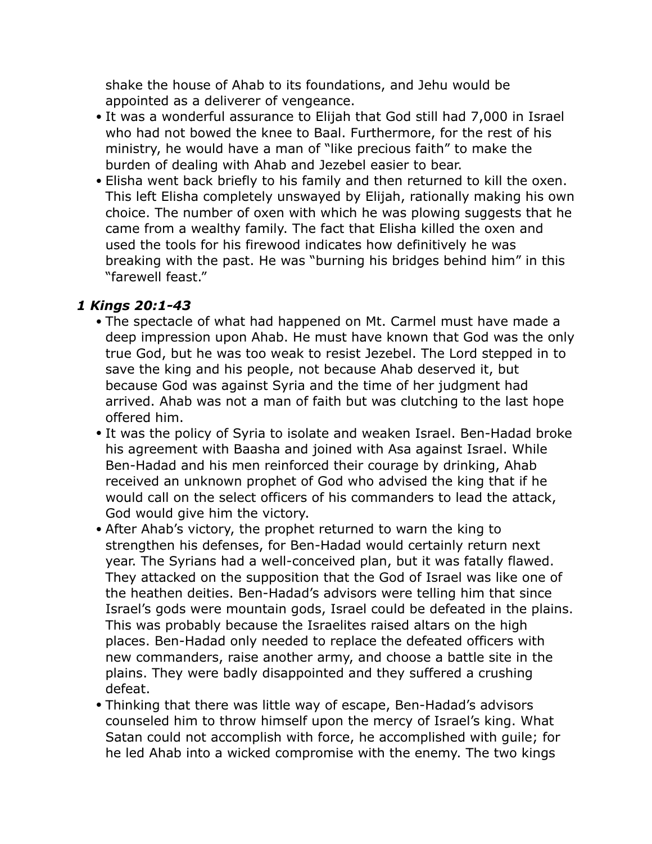shake the house of Ahab to its foundations, and Jehu would be appointed as a deliverer of vengeance.

- It was a wonderful assurance to Elijah that God still had 7,000 in Israel who had not bowed the knee to Baal. Furthermore, for the rest of his ministry, he would have a man of "like precious faith" to make the burden of dealing with Ahab and Jezebel easier to bear.
- Elisha went back briefly to his family and then returned to kill the oxen. This left Elisha completely unswayed by Elijah, rationally making his own choice. The number of oxen with which he was plowing suggests that he came from a wealthy family. The fact that Elisha killed the oxen and used the tools for his firewood indicates how definitively he was breaking with the past. He was "burning his bridges behind him" in this "farewell feast."

#### *1 Kings 20:1-43*

- The spectacle of what had happened on Mt. Carmel must have made a deep impression upon Ahab. He must have known that God was the only true God, but he was too weak to resist Jezebel. The Lord stepped in to save the king and his people, not because Ahab deserved it, but because God was against Syria and the time of her judgment had arrived. Ahab was not a man of faith but was clutching to the last hope offered him.
- It was the policy of Syria to isolate and weaken Israel. Ben-Hadad broke his agreement with Baasha and joined with Asa against Israel. While Ben-Hadad and his men reinforced their courage by drinking, Ahab received an unknown prophet of God who advised the king that if he would call on the select officers of his commanders to lead the attack, God would give him the victory.
- After Ahab's victory, the prophet returned to warn the king to strengthen his defenses, for Ben-Hadad would certainly return next year. The Syrians had a well-conceived plan, but it was fatally flawed. They attacked on the supposition that the God of Israel was like one of the heathen deities. Ben-Hadad's advisors were telling him that since Israel's gods were mountain gods, Israel could be defeated in the plains. This was probably because the Israelites raised altars on the high places. Ben-Hadad only needed to replace the defeated officers with new commanders, raise another army, and choose a battle site in the plains. They were badly disappointed and they suffered a crushing defeat.
- Thinking that there was little way of escape, Ben-Hadad's advisors counseled him to throw himself upon the mercy of Israel's king. What Satan could not accomplish with force, he accomplished with guile; for he led Ahab into a wicked compromise with the enemy. The two kings